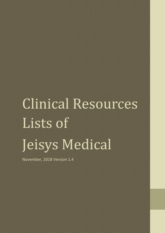## Clinical Resources Lists of Jeisys Medical

November, 2018 Version 1.4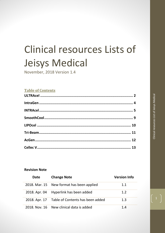### Clinical resources Lists of Jeisys Medical

November, 2018 Version 1.4

#### **Table of Contents**

#### **Revision Note**

| <b>Date</b> | <b>Change Note</b>                             | <b>Version Info</b> |
|-------------|------------------------------------------------|---------------------|
|             | 2018. Mar. 15 New format has been applied      | 1.1                 |
|             | 2018. Apr. 04 Hyperlink has been added         | 1.2                 |
|             | 2018. Apr. 17 Table of Contents has been added | 1.3                 |
|             | 2018. Nov. 16 New clinical data is added       | 1.4                 |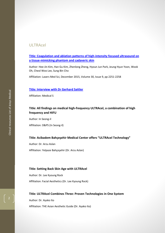#### <span id="page-2-0"></span>ULTRAcel

**[Title: Coagulation and ablation patterns of high-intensity focused ultrasound on](https://link.springer.com/article/10.1007/s10103-015-1804-8)  [a tissue-mimicking phantom and cadaveric skin](https://link.springer.com/article/10.1007/s10103-015-1804-8)**

Author: Hee-Jin Kim, Han Gu Kim, Zhenlong Zheng, Hyoun Jun Park, Jeung Hyun Yoon, Wook Oh, Cheol Woo Lee, Sung Bin Cho

Affiliation: Lasers Med Sci, December 2015, Volume 30, Issue 9, pp 2251-2258

#### **[Title: Interview with Dr Gerhard Sattler](http://www.jeisys.com/wp-content/uploads/2015/10/Dr-Gerhard-Sattler-Interview_ENG1.pdf)**

Affiliation: Medical S

#### **Title: All findings on medical high-frequency ULTRAcel, a combination of high frequency and HIFU**

Author: In Seong-il Affiliation: D&PS (In Seong-il)

#### **Title: Acibadem Bahçeşehir Medical Center offers "ULTRAcel Technology"**

Author: Dr. Arzu Aslan Affiliation: Yelpaze Bahçeşehir (Dr. Arzu Aslan)

#### **Title: Setting Back Skin Age with ULTRAcel**

Author: Dr. Lee Kyoung Rock Affiliation: Facial Aesthetics (Dr. Lee Kyoung Rock)

#### **Title: ULTRAcel Combines Three: Proven Technologies in One System**

Author: Dr. Ayako Ito

Affiliation: THE Asian Aesthetic Guide (Dr. Ayako Ito)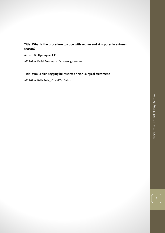#### **Title: What is the procedure to cope with sebum and skin pores in autumn season?**

Author: Dr. Hyeong-seok Ko

Affiliation: Facial Aesthetics (Dr. Hyeong-seok Ko)

#### **Title: Would skin sagging be resolved? Non-surgical treatment**

Affiliation: Bella Pelle\_v2n4 (KOU Seiko)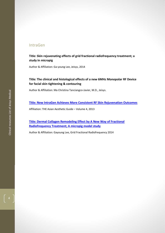#### <span id="page-4-0"></span>IntraGen

**Title: Skin rejuvenating effects of grid fractional radiofrequency treatment; a study in micropig**

Author & Affiliation: Ga-young Lee, Jeisys, 2014

#### **Title: The clinical and histological effects of a new 6MHz Monopolar RF Device for facial skin tightening & contouring**

Author & Affiliation: Ma Christina Tanciangco-Javier, M.D., Jeisys.

**[Title: New IntraGen Achieves More Consistent RF Skin Rejuvenation Outcomes](http://digital.miinews.com/publication/?i=167757&p=14)**

Affiliation: THE Asian Aesthetic Guide – Volume 4, 2013

**[Title: Dermal Collagen Remodeling Effect by A New Way of Fractional](https://perigee.com/wp-content/uploads/IntraGen-Paper_GRID-FRACTIONAL-RADIOFREQUENCY_eng.pdf)  [Radiofrequency Treatment; A micropig model study](https://perigee.com/wp-content/uploads/IntraGen-Paper_GRID-FRACTIONAL-RADIOFREQUENCY_eng.pdf)**

Author & Affiliation: Gayoung Lee, Grid Fractional Radiofrequency 2014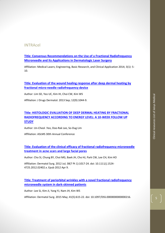#### <span id="page-5-0"></span>INTRAcel

**[Title: Consensus Recommendations on the Use of a Fractional Radiofrequency](https://www.e-sciencecentral.org/articles/SC000026419)  [Microneedle and Its Applications in Dermatologic Laser Surgery](https://www.e-sciencecentral.org/articles/SC000026419)**

Affiliation: Medical Lasers; Engineering, Basic Research, and Clinical Application 2014; 3(1): 5- 10.

#### **[Title: Evaluation of the wound healing response after deep dermal heating by](https://www.ncbi.nlm.nih.gov/pubmed/24002154)  fractional [micro-needle radiofrequency device](https://www.ncbi.nlm.nih.gov/pubmed/24002154)**

Author: Lim SD, Yeo UC, Kim IH, Choi CW, Kim WS

Affiliation: J Drugs Dermatol. 2013 Sep; 12(9):1044-9.

#### **[Title: HISTOLOGIC EVALUATION OF DEEP DERMAL HEATING BY FRACTIONAL](http://www.medestore.mx/premium/intracel/documentos/art_histologic_evaluation_ucyeo.pdf)  [RADIOFREQUENCY ACCORDING TO ENERGY LEVEL: A 10-WEEK FOLLOW UP](http://www.medestore.mx/premium/intracel/documentos/art_histologic_evaluation_ucyeo.pdf)  [STUDY](http://www.medestore.mx/premium/intracel/documentos/art_histologic_evaluation_ucyeo.pdf)**

Author: Un-Cheol .Yeo, Doo-Rak Lee, So-Dug Lim

Affiliation: ASLMS 30th Annual Conference

**[Title: Evaluation of the clinical efficacy of fractional radiofrequency microneedle](https://www.ncbi.nlm.nih.gov/pubmed/22487513)  [treatment in acne scars and large facial pores](https://www.ncbi.nlm.nih.gov/pubmed/22487513)**

Author: Cho SI, Chung BY, Choi MG, Baek JH, Cho HJ, Park CW, Lee CH, Kim HO

Affiliation: Dermatol Surg. 2012 Jul; 38(7 Pt 1):1017-24. doi: 10.1111/j.1524- 4725.2012.02402.x. Epub 2012 Apr 9.

**[Title: Treatment of periorbital wrinkles with a novel fractional radiofrequency](https://www.ncbi.nlm.nih.gov/pubmed/25899885)  [microneedle system in dark-skinned patients](https://www.ncbi.nlm.nih.gov/pubmed/25899885)**

Author: Lee SJ, Kim JI, Yang YJ, Nam JH, Kim WS

Affiliation: Dermatol Surg. 2015 May; 41(5):615-22. doi: 10.1097/DSS.0000000000000216.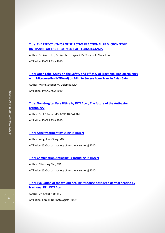#### **[Title: THE EFFECTIVENESS OF SELECTIVE FRACTIONAL RF MICRONEEDLE](http://www.medestore.mx/premium/intracel/documentos/art_telangiectasias_ayatko.pdf)  [\(INTRAcel\) FOR THE TREATMENT OF TELANGIECTASIA](http://www.medestore.mx/premium/intracel/documentos/art_telangiectasias_ayatko.pdf)**

Author: Dr. Ayako Ito, Dr. Kazuhiro Hayashi, Dr. Tomoyuki Matsukura Affiliation: IMCAS ASIA 2010

#### **Title: Open Label Study on the [Safety and Efficacy of Fractional Radiofrequency](https://perigee.com/wp-content/uploads/INTRAcel-Jeisys-Article.pdf)  [with Microneedle \(INTRAcel\) on Mild to Severe Acne Scars in Asian Skin](https://perigee.com/wp-content/uploads/INTRAcel-Jeisys-Article.pdf)**

Author: Marie Socouer M. Oblepias, MD,

Affiliation: IMCAS ASIA 2010

#### **[Title: Non-Surgical Face lifting by INTRAcel ; The future of the Anti-aging](http://www.medestore.mx/premium/intracel/documentos/art_non_surgical_poon.pdf)  [technology](http://www.medestore.mx/premium/intracel/documentos/art_non_surgical_poon.pdf)**

Author: Dr. J.C Poon, MD, FCFP, DABAARM Affiliation: IMCAS ASIA 2010

#### **[Title: Acne treatment by using INTRAcel](https://perigee.com/wp-content/uploads/INTRAcel-Jeisys-Article.pdf)**

Author: Yang, Joon-Sung, MD, Affiliation: JSAS(Japan society of aesthetic surgery) 2010

#### **[Title: Combination Antiaging Tx including INTRAcel](https://perigee.com/wp-content/uploads/INTRAcel-Jeisys-Article.pdf)**

Author: Mi-Kyung Cho, MD,

Affiliation: JSAS(Japan society of aesthetic surgery) 2010

#### **[Title: Evaluation of the wound healing response post deep dermal heating by](http://www.medestore.mx/premium/intracel/documentos/art_evaluation_wound_ucyeo.pdf)  [fractional RF : INTRAcel](http://www.medestore.mx/premium/intracel/documentos/art_evaluation_wound_ucyeo.pdf)**

Author: Un-Cheol. Yeo, MD Affiliation: Korean Dermatologists (2009)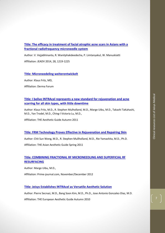**[Title: The efficacy in treatment of facial atrophic acne scars in Asians with a](https://onlinelibrary.wiley.com/doi/full/10.1111/jdv.12267)  [fractional radiofrequency microneedle system](https://onlinelibrary.wiley.com/doi/full/10.1111/jdv.12267)**

Author: V. Vejjabhinanta, R. Wanitphakdeedecha, P. Limtanyakul, W. Manuskiatti Affiliation: JEADV 2014, 28, 1219-1225

#### **[Title: Microneedeling weiterentwickelt](https://perigee.com/wp-content/uploads/INTRAcel-Jeisys-Article.pdf)**

Author: Klaus Fritz, MD,

Affiliation: Derma Forum

**Title: [I belive INTRAcel represents a new standard for rejuvenation and acne](http://digital.miinews.com/publication/index.php?i=86521&m=&l=&p=2&pre=&ver=html5#{"page":2,"issue_id":86521})  [scarring for all skin types, with little downtime](http://digital.miinews.com/publication/index.php?i=86521&m=&l=&p=2&pre=&ver=html5#{"page":2,"issue_id":86521})**

Author: Klaus Fritz, M.D., R. Stephen Mulholland, M.D., Marge Uibu, M.D., Takashi TaKahashi, M.D., Yan Trodel, M.D., Ching-l Victoria Lu, M.D.,

Affiliation: THE Aesthetic Guide Autumn 2011

#### **[Title: FRM Technology Proves Effective in Rejuvenation and Repairing Skin](http://digital.miinews.com/article/FRM+Technology+Proves+Effective+In+Rejuvenating+And+Repairing+Skin/729143/69863/article.html)**

Author: Chit Sun Wong, M.D., R. Stephen Mullholland, M.D., Rie Yamashita, M.D., Ph.D.

Affiliation: THE Asian Aesthetic Guide Spring 2011

#### **[Title: COMBINING FRACTIONAL RF MICRONEEDLING AND SUPERFICIAL RF](http://www.ihoakatemia.fi/images/media/Fractional_Microneedling_Marge_Uibu.pdf)  [RESURFACING](http://www.ihoakatemia.fi/images/media/Fractional_Microneedling_Marge_Uibu.pdf)**

Author: Marge Uibu, M.D.,

Affiliation: Prime-journal.com, November/December 2012

#### **[Title: Jeisys Establishes INTRAcel as Versatile Aesthetic Solution](http://digital.miinews.com/article/Jeisys+Establishes+INTRAcel+As+Versatile+Aesthetic+Solution/505633/0/article.html)**

Author: Pierre Secnazi, M.D., Bang Soon Kim, M.D., Ph.D., Jose Antonio Gonzalez-Diaz, M.D.

Affiliation: THE European Aesthetic Guide Autumn 2010

#### 7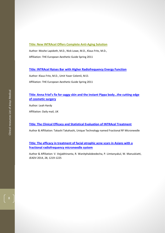#### **[Title: New INTRAcel Offers Complete Anti-Aging Solution](http://digital.miinews.com/article/New_INTRAcel_Offers_Complete_Anti-Aging_Solution/1176786/126407/article.html)**

Author: Moshe Lapidoth, M.D., Nick Lowe, M.D., Klaus Fritz, M.D., Affiliation: THE European Aesthetic Guide Spring 2011

#### **[Title: INTRAcel Raises Bar with Higher Radiofrequency Energy Function](http://www.medestore.mx/premium/intracel/documentos/art_intracel_petrou.pdf)**

Author: Klaus Fritz, M.D., Umit Yaser Celemli, M.D.

Affiliation: THE European Aesthetic Guide Spring 2011

#### **[Title: Anna Friel's fix for saggy skin and the instant Pippa body…the cutting edge](http://www.dailymail.co.uk/health/article-2103101/Anna-Friels-fix-saggy-skin-instant-Pippa-body--cutting-edge-cosmetic-surgery.html)  [of cosmetic surgery](http://www.dailymail.co.uk/health/article-2103101/Anna-Friels-fix-saggy-skin-instant-Pippa-body--cutting-edge-cosmetic-surgery.html)**

Author: Leah Hardy Affiliation: Daily mail, UK

#### **[Title: The Clinical Efficacy and Statistical Evaluation of INTRAcel Treatment](http://www.medestore.mx/premium/intracel/documentos/art_clinical_efficacy_takahashi.pdf)**

Author & Affiliation: Takashi Takahashi, Unique Technology named Fractional RF Microneedle

#### **[Title: The efficacy in treatment of facial atrophic acne scars in Asians with a](https://www.ncbi.nlm.nih.gov/pubmed/25158223)  [fractional radiofrequency microneedle system](https://www.ncbi.nlm.nih.gov/pubmed/25158223)**

Author & Affiliation: V. Vejjabhinanta, R. Wanitphakdeedecha, P. Limtanyakul, W. Manuskiatti, JEADV 2014, 28, 1219-1225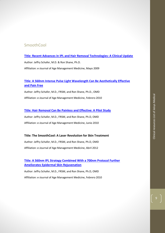#### <span id="page-9-0"></span>**SmoothCool**

#### **[Title: Recent Advances in IPL and Hair Removal Technologies: A Clinical Update](http://www.altairsystem.it/recent-advances-in-ipl-and-hair-removal-technologies-a-clinical-update/)**

Author: Jeffry Schafer, M.D. & Ron Shane, Ph.D.

Affiliation: e-Journal of Age Management Medicine, Mayo 2009

#### **[Title: A 560nm Intense Pulse Light Wavelength Can Be Aesthetically Effective](http://www.altairsystem.it/wp-content/uploads/2012/03/A560nmIntensePulseLightWavelengthCanBeAestheticallyEffectiveandPainFree.pdf)  [and Pain Free](http://www.altairsystem.it/wp-content/uploads/2012/03/A560nmIntensePulseLightWavelengthCanBeAestheticallyEffectiveandPainFree.pdf)**

Author: Jeffry Schafer, M.D., FRSM, and Ron Shane, Ph.D., OMD Affiliation: e-Journal of Age Management Medicine, Febrero 2010

#### **[Title: Hair Removal Can Be Painless and Effective: A Pilot Study](http://www.medestore.mx/premium/smoothcool/documentos.php)**

Author: Jeffry Schafer, M.D., FRSM, and Ron Shane, Ph.D, OMD Affiliation: e-Journal of Age Management Medicine, Junio 2010

#### **Title: The SmoothCool: A Laser Revolution for Skin Treatment**

Author: Jeffry Schafer, M.D., FRSM, and Ron Shane, Ph.D, OMD Affiliation: e-Journal of Age Management Medicine, Abril 2012

#### **[Title: A 560nm IPL Strategy Combined With a 700nm Protocol Further](http://www.medestore.mx/premium/smoothcool/documentos.php)  [Ameliorates Epidermal Skin Rejuvenation](http://www.medestore.mx/premium/smoothcool/documentos.php)**

Author: Jeffry Schafer, M.D., FRSM, and Ron Shane, Ph.D, OMD Affiliation: e-Journal of Age Management Medicine, Febrero 2010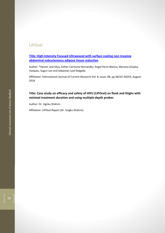#### <span id="page-10-0"></span>LIPOcel

**[Title: High-Intensity Focused Ultrasound with surface cooling non-invasive](http://www.journalcra.com/article/high-intensity-focused-ultrasound-surface-cooling-non-invasive-abdominal-subcutaneous-adipos)  [abdominal subcutaneous adipose tissue reduction](http://www.journalcra.com/article/high-intensity-focused-ultrasound-surface-cooling-non-invasive-abdominal-subcutaneous-adipos)**

Author: \*Hector Leal Silva, Esther Carmona Hernandez, Angel Perez Blanco, Mariana Grijalva Vazquez, Sugun Lee and Sebastian Leal Delgado

Affiliation: International Journal of Current Research Vol. 8, Issue, 08, pp.36232-36243, August, 2016

#### **Title: Case study on efficacy and safety of HIFU (LIPOcel) on flank and thighs with minimal treatment duration and using multiple depth probes**

Author: Dr. Ugnku Shahrin

Affiliation: LIPOcel Report (Dr. Ungku Shahrin)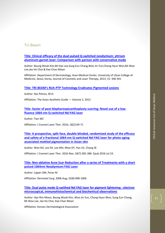#### <span id="page-11-0"></span>Tri-Beam

**[Title: Clinical efficacy of the dual-pulsed Q-switched neodymium:](https://www.tandfonline.com/doi/abs/10.3109/14764172.2013.814463) yttrium [aluminum-garnet laser: Comparison with parison with conservative mode](https://www.tandfonline.com/doi/abs/10.3109/14764172.2013.814463)**

Author[: Byung Wook Kim](https://www.tandfonline.com/author/Kim%2C+Byung+Wook)[,Mi Hye Lee,](https://www.tandfonline.com/author/Lee%2C+Mi+Hye)[Sung Eun Chang](https://www.tandfonline.com/author/Chang%2C+Sung+Eun)[,Woo Jin Yun](https://www.tandfonline.com/author/Yun%2C+Woo+Jin)[,Chong Hyun Won](https://www.tandfonline.com/author/Won%2C+Chong+Hyun)[,Mi Woo](https://www.tandfonline.com/author/Lee%2C+Mi+Woo)  [Lee,](https://www.tandfonline.com/author/Lee%2C+Mi+Woo)[Jee Ho Choi](https://www.tandfonline.com/author/Choi%2C+Jee+Ho) [& Kee Chan Moon](https://www.tandfonline.com/author/Moon%2C+Kee+Chan)

Affiliation: Department of Dermatology, Asan Medical Center, University of Ulsan College of Medicine, Seoul, Korea, Journal of Cosmetic and Laser Therapy, 2013; 15: 340-341

#### **Title: TRI-BEAM's Rich[-PTP Technology Eradicates Pigmented Lesions](http://digital.miinews.com/article/TRI-BEAM%E2%80%99s+Rich-PTP+Technology+Eradicates+Pigmented+Lesions/1116112/118600/article.html)**

Author: Ilya Petrou, M.D.

Affiliation: The Asian Aesthetic Guide — Volume 2, 2012

#### **[Title: Savior of post-blepharoepicanthoplasty scarring: Novel use of a low](https://www.ncbi.nlm.nih.gov/pubmed/26820981)[fluence 1064-nm Q-switched Nd:YAG laser](https://www.ncbi.nlm.nih.gov/pubmed/26820981)**

Author: Tian WC

Affiliation: J Cosmet Laser Ther. 2016; 18(2):69-71

**[Title: A prospective, split-face, double-blinded, randomized study of the efficacy](https://www.ncbi.nlm.nih.gov/pubmed/27249461)  and safety of a fractional [1064-nm Q-switched Nd:YAG laser for photo-aging](https://www.ncbi.nlm.nih.gov/pubmed/27249461)[associated mottled pigmentation in Asian skin](https://www.ncbi.nlm.nih.gov/pubmed/27249461)**

Author: Won KH, Lee SH, Lee MH, Rhee DY, Yeo UC, Chang SE

Affiliation: J Cosmet Laser Ther. 2016 Nov; 18(7):381-386. Epub 2016 Jul 19.

#### **[Title: Non-ablative Acne Scar Reduction after a series of Treatments with a short](https://www.ncbi.nlm.nih.gov/pubmed/16918561)  [pulsed 1064nm Neodymium:YAG Laser](https://www.ncbi.nlm.nih.gov/pubmed/16918561)**

Author: Lipper GM, Perez M

Affiliation: Dermatol Surg. 2006 Aug; 32(8):998-1006

#### **[Title: Dual pulse mode Q-swithed Nd:YAG laser for pigment lightening : electron](http://www.papersearch.net/thesis/article.asp?key=3173899)  [microscopical, immunohistochemical and biochemical observations](http://www.papersearch.net/thesis/article.asp?key=3173899)**

Author: Hye Rim Moon, Byung Wook Kim, Woo Jin Yun, Chong Hyun Won, Sung Eun Chang, Mi Woo Lee, Jee Ho Choi, Kee Chan Moon

Affiliation: Korean Dermatological Association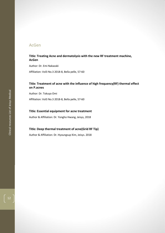#### <span id="page-12-0"></span>AcGen

#### **Title: Treating Acne and dermatolysis with the new RF treatment machine, AcGen**

Author: Dr. Emi Nakazaki Affiliation: Vol3 No.3 2018-8, Bella pelle, 57-60

#### **Title: Treatment of acne with the influence of high frequency(RF) thermal effect on P.acnes**

Author: Dr. Tokuya Omi Affiliation: Vol3 No.3 2018-8, Bella pelle, 57-60

#### **Title: Essential equipment for acne treatment**

Author & Affiliation: Dr. Yongho Hwang, Jeisys, 2018

#### **Title: Deep thermal treatment of acne(Grid RF Tip)**

Author & Affiliation: Dr. Hyoungsup Kim, Jeisys. 2018